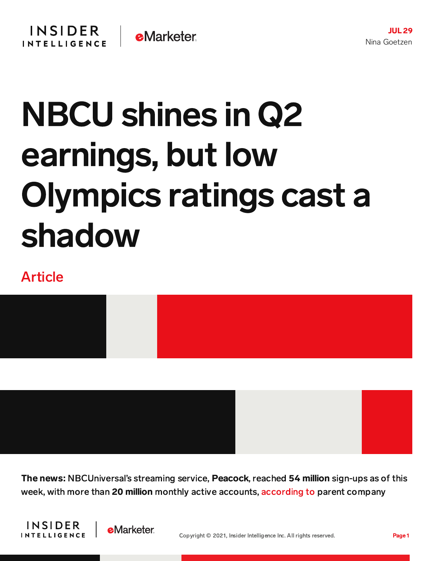## NBCU shines in Q2 earnings, but low Olympics ratings cast a shadow

## Article



The news: NBCUniversal's streaming service, Peacock, reached 54 million sign-ups as of this week, with more than 20 million monthly active accounts, [according](https://www.cnbc.com/2021/07/29/comcast-earnings-cmcsa-q2-2021.html) to parent company